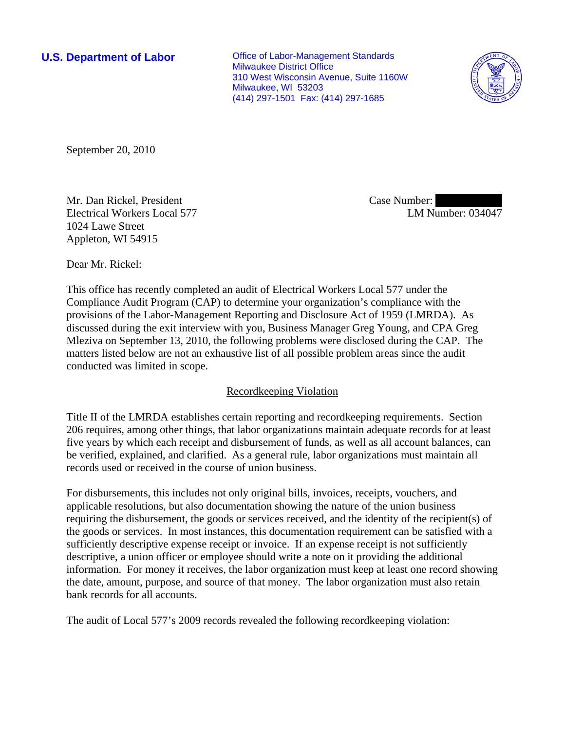**U.S. Department of Labor Conservative Conservative Conservative Conservative Conservative Conservative Conservative Conservative Conservative Conservative Conservative Conservative Conservative Conservative Conservative** Milwaukee District Office 310 West Wisconsin Avenue, Suite 1160W Milwaukee, WI 53203 (414) 297-1501 Fax: (414) 297-1685



September 20, 2010

Mr. Dan Rickel, President Electrical Workers Local 577 1024 Lawe Street Appleton, WI 54915

Case Number: LM Number: 034047

Dear Mr. Rickel:

This office has recently completed an audit of Electrical Workers Local 577 under the Compliance Audit Program (CAP) to determine your organization's compliance with the provisions of the Labor-Management Reporting and Disclosure Act of 1959 (LMRDA). As discussed during the exit interview with you, Business Manager Greg Young, and CPA Greg Mleziva on September 13, 2010, the following problems were disclosed during the CAP. The matters listed below are not an exhaustive list of all possible problem areas since the audit conducted was limited in scope.

# Recordkeeping Violation

Title II of the LMRDA establishes certain reporting and recordkeeping requirements. Section 206 requires, among other things, that labor organizations maintain adequate records for at least five years by which each receipt and disbursement of funds, as well as all account balances, can be verified, explained, and clarified. As a general rule, labor organizations must maintain all records used or received in the course of union business.

For disbursements, this includes not only original bills, invoices, receipts, vouchers, and applicable resolutions, but also documentation showing the nature of the union business requiring the disbursement, the goods or services received, and the identity of the recipient(s) of the goods or services. In most instances, this documentation requirement can be satisfied with a sufficiently descriptive expense receipt or invoice. If an expense receipt is not sufficiently descriptive, a union officer or employee should write a note on it providing the additional information. For money it receives, the labor organization must keep at least one record showing the date, amount, purpose, and source of that money. The labor organization must also retain bank records for all accounts.

The audit of Local 577's 2009 records revealed the following recordkeeping violation: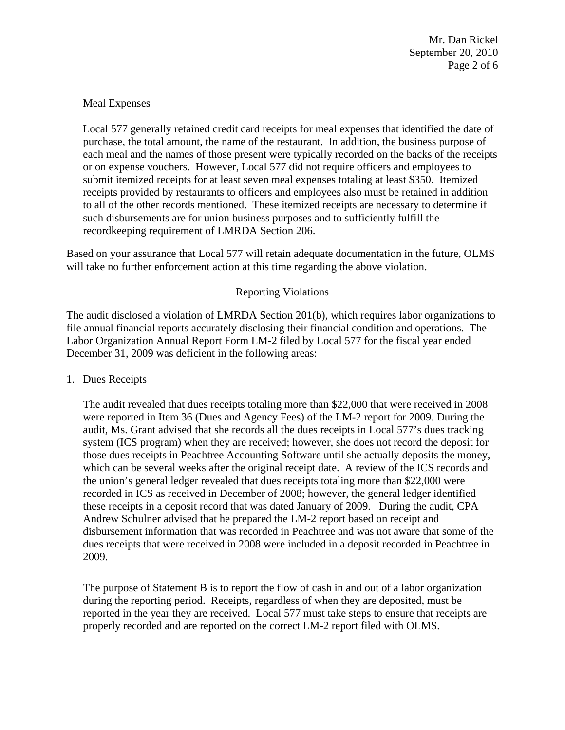Mr. Dan Rickel September 20, 2010 Page 2 of 6

## Meal Expenses

Local 577 generally retained credit card receipts for meal expenses that identified the date of purchase, the total amount, the name of the restaurant. In addition, the business purpose of each meal and the names of those present were typically recorded on the backs of the receipts or on expense vouchers. However, Local 577 did not require officers and employees to submit itemized receipts for at least seven meal expenses totaling at least \$350. Itemized receipts provided by restaurants to officers and employees also must be retained in addition to all of the other records mentioned. These itemized receipts are necessary to determine if such disbursements are for union business purposes and to sufficiently fulfill the recordkeeping requirement of LMRDA Section 206.

Based on your assurance that Local 577 will retain adequate documentation in the future, OLMS will take no further enforcement action at this time regarding the above violation.

# Reporting Violations

The audit disclosed a violation of LMRDA Section 201(b), which requires labor organizations to file annual financial reports accurately disclosing their financial condition and operations. The Labor Organization Annual Report Form LM-2 filed by Local 577 for the fiscal year ended December 31, 2009 was deficient in the following areas:

## 1. Dues Receipts

The audit revealed that dues receipts totaling more than \$22,000 that were received in 2008 were reported in Item 36 (Dues and Agency Fees) of the LM-2 report for 2009. During the audit, Ms. Grant advised that she records all the dues receipts in Local 577's dues tracking system (ICS program) when they are received; however, she does not record the deposit for those dues receipts in Peachtree Accounting Software until she actually deposits the money, which can be several weeks after the original receipt date. A review of the ICS records and the union's general ledger revealed that dues receipts totaling more than \$22,000 were recorded in ICS as received in December of 2008; however, the general ledger identified these receipts in a deposit record that was dated January of 2009. During the audit, CPA Andrew Schulner advised that he prepared the LM-2 report based on receipt and disbursement information that was recorded in Peachtree and was not aware that some of the dues receipts that were received in 2008 were included in a deposit recorded in Peachtree in 2009.

The purpose of Statement B is to report the flow of cash in and out of a labor organization during the reporting period. Receipts, regardless of when they are deposited, must be reported in the year they are received. Local 577 must take steps to ensure that receipts are properly recorded and are reported on the correct LM-2 report filed with OLMS.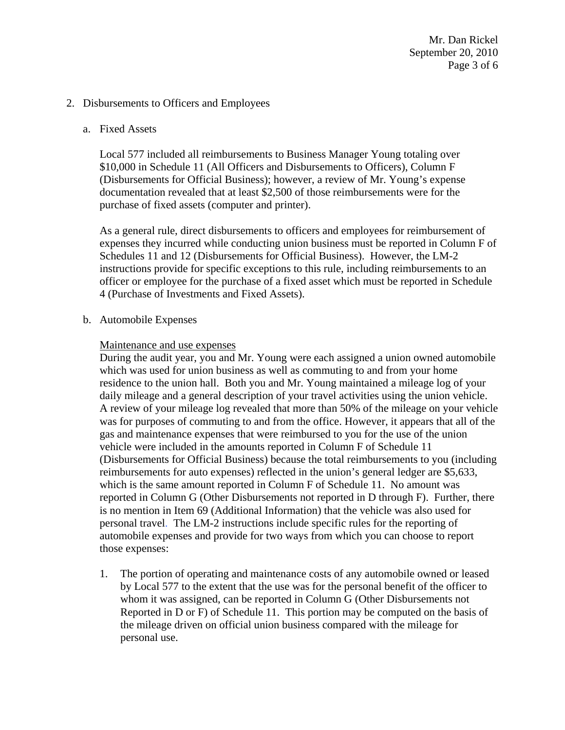Mr. Dan Rickel September 20, 2010 Page 3 of 6

### 2. Disbursements to Officers and Employees

#### a. Fixed Assets

Local 577 included all reimbursements to Business Manager Young totaling over \$10,000 in Schedule 11 (All Officers and Disbursements to Officers), Column F (Disbursements for Official Business); however, a review of Mr. Young's expense documentation revealed that at least \$2,500 of those reimbursements were for the purchase of fixed assets (computer and printer).

As a general rule, direct disbursements to officers and employees for reimbursement of expenses they incurred while conducting union business must be reported in Column F of Schedules 11 and 12 (Disbursements for Official Business). However, the LM-2 instructions provide for specific exceptions to this rule, including reimbursements to an officer or employee for the purchase of a fixed asset which must be reported in Schedule 4 (Purchase of Investments and Fixed Assets).

#### b. Automobile Expenses

## Maintenance and use expenses

During the audit year, you and Mr. Young were each assigned a union owned automobile which was used for union business as well as commuting to and from your home residence to the union hall. Both you and Mr. Young maintained a mileage log of your daily mileage and a general description of your travel activities using the union vehicle. A review of your mileage log revealed that more than 50% of the mileage on your vehicle was for purposes of commuting to and from the office. However, it appears that all of the gas and maintenance expenses that were reimbursed to you for the use of the union vehicle were included in the amounts reported in Column F of Schedule 11 (Disbursements for Official Business) because the total reimbursements to you (including reimbursements for auto expenses) reflected in the union's general ledger are \$5,633, which is the same amount reported in Column F of Schedule 11. No amount was reported in Column G (Other Disbursements not reported in D through F). Further, there is no mention in Item 69 (Additional Information) that the vehicle was also used for personal travel. The LM-2 instructions include specific rules for the reporting of automobile expenses and provide for two ways from which you can choose to report those expenses:

1. The portion of operating and maintenance costs of any automobile owned or leased by Local 577 to the extent that the use was for the personal benefit of the officer to whom it was assigned, can be reported in Column G (Other Disbursements not Reported in D or F) of Schedule 11. This portion may be computed on the basis of the mileage driven on official union business compared with the mileage for personal use.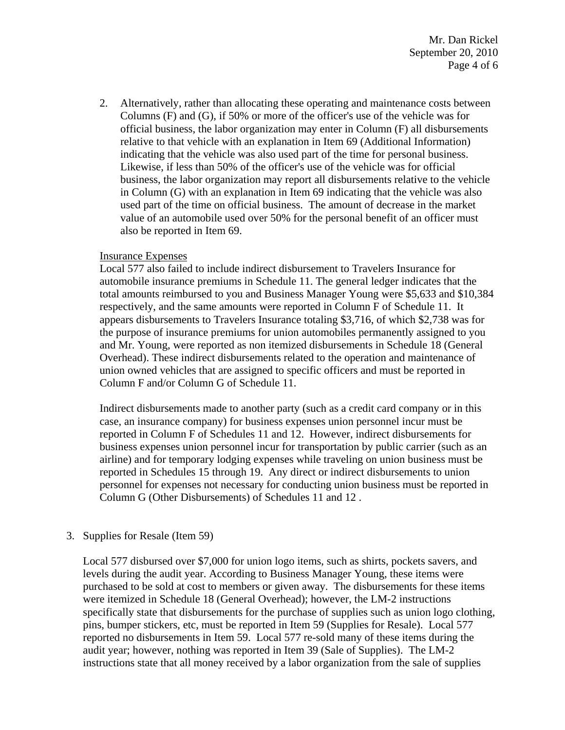2. Alternatively, rather than allocating these operating and maintenance costs between Columns (F) and (G), if 50% or more of the officer's use of the vehicle was for official business, the labor organization may enter in Column (F) all disbursements relative to that vehicle with an explanation in Item 69 (Additional Information) indicating that the vehicle was also used part of the time for personal business. Likewise, if less than 50% of the officer's use of the vehicle was for official business, the labor organization may report all disbursements relative to the vehicle in Column (G) with an explanation in Item 69 indicating that the vehicle was also used part of the time on official business. The amount of decrease in the market value of an automobile used over 50% for the personal benefit of an officer must also be reported in Item 69.

## Insurance Expenses

Local 577 also failed to include indirect disbursement to Travelers Insurance for automobile insurance premiums in Schedule 11. The general ledger indicates that the total amounts reimbursed to you and Business Manager Young were \$5,633 and \$10,384 respectively, and the same amounts were reported in Column F of Schedule 11. It appears disbursements to Travelers Insurance totaling \$3,716, of which \$2,738 was for the purpose of insurance premiums for union automobiles permanently assigned to you and Mr. Young, were reported as non itemized disbursements in Schedule 18 (General Overhead). These indirect disbursements related to the operation and maintenance of union owned vehicles that are assigned to specific officers and must be reported in Column F and/or Column G of Schedule 11.

Indirect disbursements made to another party (such as a credit card company or in this case, an insurance company) for business expenses union personnel incur must be reported in Column F of Schedules 11 and 12. However, indirect disbursements for business expenses union personnel incur for transportation by public carrier (such as an airline) and for temporary lodging expenses while traveling on union business must be reported in Schedules 15 through 19. Any direct or indirect disbursements to union personnel for expenses not necessary for conducting union business must be reported in Column G (Other Disbursements) of Schedules 11 and 12 .

## 3. Supplies for Resale (Item 59)

Local 577 disbursed over \$7,000 for union logo items, such as shirts, pockets savers, and levels during the audit year. According to Business Manager Young, these items were purchased to be sold at cost to members or given away. The disbursements for these items were itemized in Schedule 18 (General Overhead); however, the LM-2 instructions specifically state that disbursements for the purchase of supplies such as union logo clothing, pins, bumper stickers, etc, must be reported in Item 59 (Supplies for Resale). Local 577 reported no disbursements in Item 59. Local 577 re-sold many of these items during the audit year; however, nothing was reported in Item 39 (Sale of Supplies). The LM-2 instructions state that all money received by a labor organization from the sale of supplies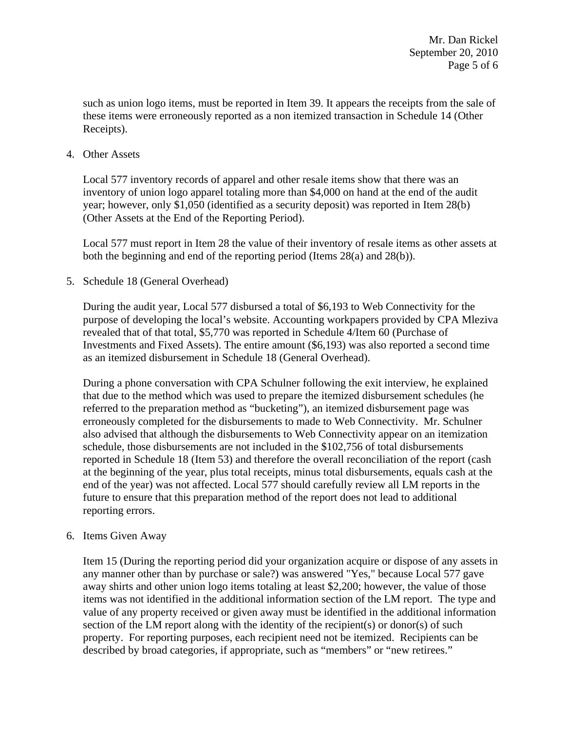Mr. Dan Rickel September 20, 2010 Page 5 of 6

such as union logo items, must be reported in Item 39. It appears the receipts from the sale of these items were erroneously reported as a non itemized transaction in Schedule 14 (Other Receipts).

## 4. Other Assets

Local 577 inventory records of apparel and other resale items show that there was an inventory of union logo apparel totaling more than \$4,000 on hand at the end of the audit year; however, only \$1,050 (identified as a security deposit) was reported in Item 28(b) (Other Assets at the End of the Reporting Period).

Local 577 must report in Item 28 the value of their inventory of resale items as other assets at both the beginning and end of the reporting period (Items 28(a) and 28(b)).

5. Schedule 18 (General Overhead)

During the audit year, Local 577 disbursed a total of \$6,193 to Web Connectivity for the purpose of developing the local's website. Accounting workpapers provided by CPA Mleziva revealed that of that total, \$5,770 was reported in Schedule 4/Item 60 (Purchase of Investments and Fixed Assets). The entire amount (\$6,193) was also reported a second time as an itemized disbursement in Schedule 18 (General Overhead).

During a phone conversation with CPA Schulner following the exit interview, he explained that due to the method which was used to prepare the itemized disbursement schedules (he referred to the preparation method as "bucketing"), an itemized disbursement page was erroneously completed for the disbursements to made to Web Connectivity. Mr. Schulner also advised that although the disbursements to Web Connectivity appear on an itemization schedule, those disbursements are not included in the \$102,756 of total disbursements reported in Schedule 18 (Item 53) and therefore the overall reconciliation of the report (cash at the beginning of the year, plus total receipts, minus total disbursements, equals cash at the end of the year) was not affected. Local 577 should carefully review all LM reports in the future to ensure that this preparation method of the report does not lead to additional reporting errors.

## 6. Items Given Away

Item 15 (During the reporting period did your organization acquire or dispose of any assets in any manner other than by purchase or sale?) was answered "Yes," because Local 577 gave away shirts and other union logo items totaling at least \$2,200; however, the value of those items was not identified in the additional information section of the LM report. The type and value of any property received or given away must be identified in the additional information section of the LM report along with the identity of the recipient(s) or donor(s) of such property. For reporting purposes, each recipient need not be itemized. Recipients can be described by broad categories, if appropriate, such as "members" or "new retirees."